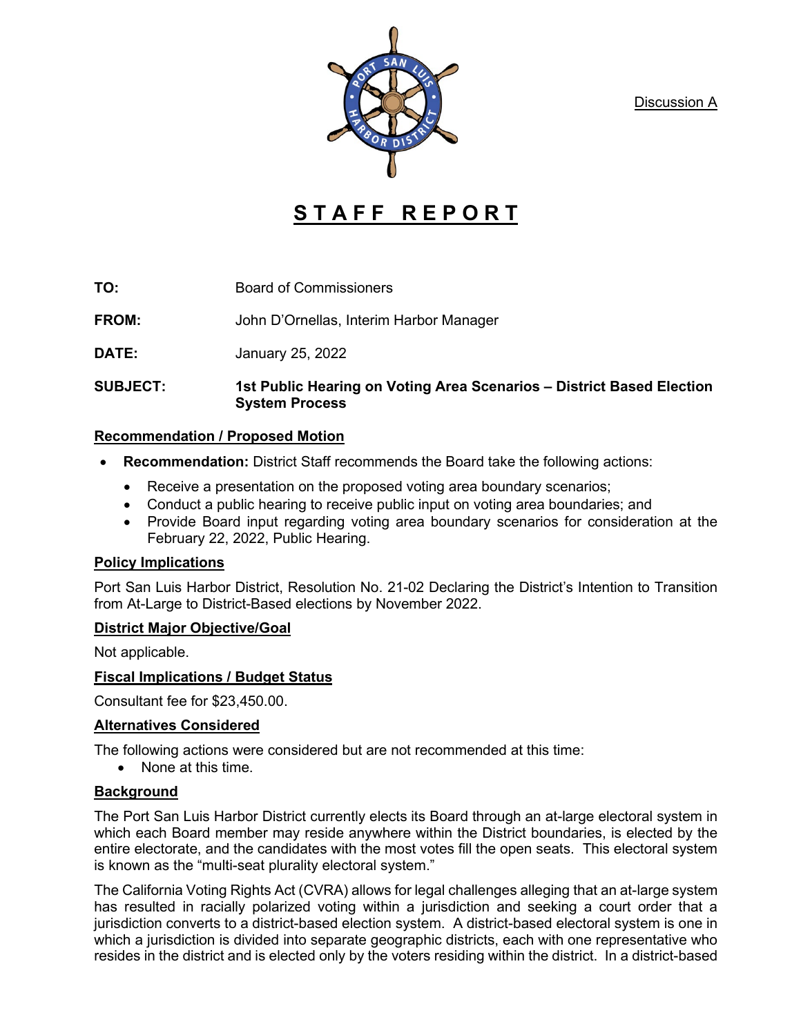Discussion A



# **STAFF REPORT**

**TO:** Board of Commissioners

**FROM:** John D'Ornellas, Interim Harbor Manager

**DATE:** January 25, 2022

**SUBJECT: 1st Public Hearing on Voting Area Scenarios – District Based Election System Process**

# **Recommendation / Proposed Motion**

- **Recommendation:** District Staff recommends the Board take the following actions:
	- Receive a presentation on the proposed voting area boundary scenarios;
	- Conduct a public hearing to receive public input on voting area boundaries; and
	- Provide Board input regarding voting area boundary scenarios for consideration at the February 22, 2022, Public Hearing.

# **Policy Implications**

Port San Luis Harbor District, Resolution No. 21-02 Declaring the District's Intention to Transition from At-Large to District-Based elections by November 2022.

# **District Major Objective/Goal**

Not applicable.

# **Fiscal Implications / Budget Status**

Consultant fee for \$23,450.00.

# **Alternatives Considered**

The following actions were considered but are not recommended at this time:

• None at this time.

# **Background**

The Port San Luis Harbor District currently elects its Board through an at-large electoral system in which each Board member may reside anywhere within the District boundaries, is elected by the entire electorate, and the candidates with the most votes fill the open seats. This electoral system is known as the "multi-seat plurality electoral system."

The California Voting Rights Act (CVRA) allows for legal challenges alleging that an at-large system has resulted in racially polarized voting within a jurisdiction and seeking a court order that a jurisdiction converts to a district-based election system. A district-based electoral system is one in which a jurisdiction is divided into separate geographic districts, each with one representative who resides in the district and is elected only by the voters residing within the district. In a district-based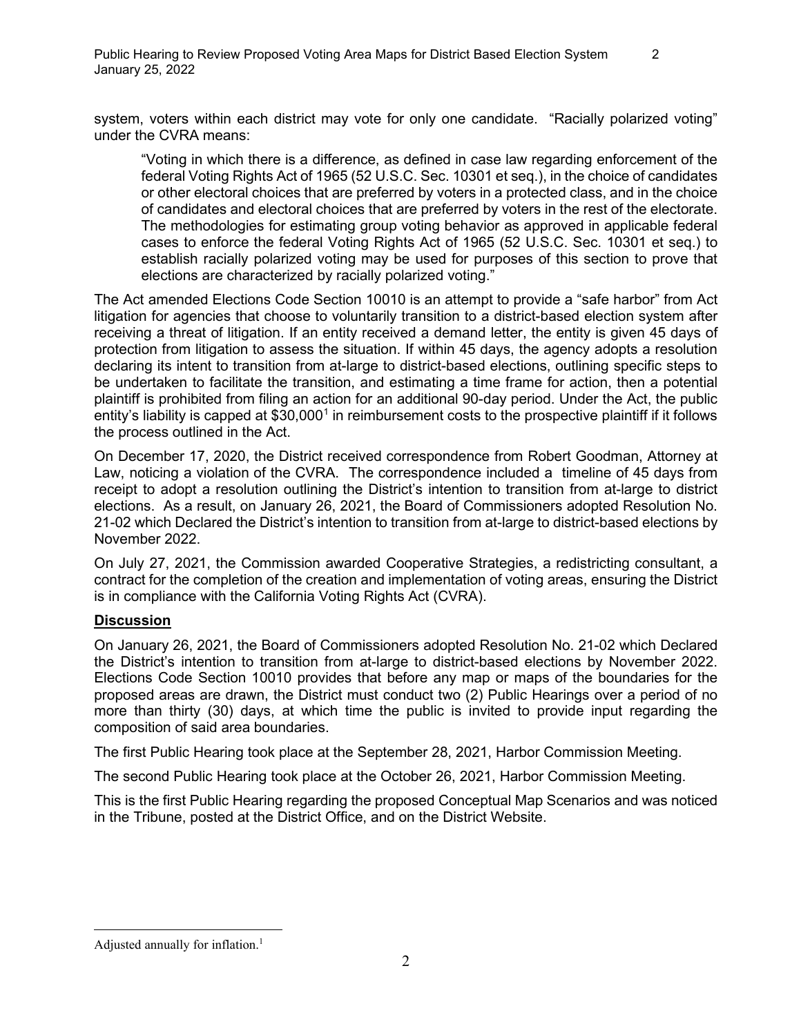system, voters within each district may vote for only one candidate. "Racially polarized voting" under the CVRA means:

"Voting in which there is a difference, as defined in case law regarding enforcement of the federal Voting Rights Act of 1965 (52 U.S.C. Sec. 10301 et seq.), in the choice of candidates or other electoral choices that are preferred by voters in a protected class, and in the choice of candidates and electoral choices that are preferred by voters in the rest of the electorate. The methodologies for estimating group voting behavior as approved in applicable federal cases to enforce the federal Voting Rights Act of 1965 (52 U.S.C. Sec. 10301 et seq.) to establish racially polarized voting may be used for purposes of this section to prove that elections are characterized by racially polarized voting."

The Act amended Elections Code Section 10010 is an attempt to provide a "safe harbor" from Act litigation for agencies that choose to voluntarily transition to a district-based election system after receiving a threat of litigation. If an entity received a demand letter, the entity is given 45 days of protection from litigation to assess the situation. If within 45 days, the agency adopts a resolution declaring its intent to transition from at-large to district-based elections, outlining specific steps to be undertaken to facilitate the transition, and estimating a time frame for action, then a potential plaintiff is prohibited from filing an action for an additional 90-day period. Under the Act, the public entity's liability is capped at  $$30,000<sup>1</sup>$  in reimbursement costs to the prospective plaintiff if it follows the process outlined in the Act.

On December 17, 2020, the District received correspondence from Robert Goodman, Attorney at Law, noticing a violation of the CVRA. The correspondence included a timeline of 45 days from receipt to adopt a resolution outlining the District's intention to transition from at-large to district elections. As a result, on January 26, 2021, the Board of Commissioners adopted Resolution No. 21-02 which Declared the District's intention to transition from at-large to district-based elections by November 2022.

On July 27, 2021, the Commission awarded Cooperative Strategies, a redistricting consultant, a contract for the completion of the creation and implementation of voting areas, ensuring the District is in compliance with the California Voting Rights Act (CVRA).

# **Discussion**

On January 26, 2021, the Board of Commissioners adopted Resolution No. 21-02 which Declared the District's intention to transition from at-large to district-based elections by November 2022. Elections Code Section 10010 provides that before any map or maps of the boundaries for the proposed areas are drawn, the District must conduct two (2) Public Hearings over a period of no more than thirty (30) days, at which time the public is invited to provide input regarding the composition of said area boundaries.

The first Public Hearing took place at the September 28, 2021, Harbor Commission Meeting.

The second Public Hearing took place at the October 26, 2021, Harbor Commission Meeting.

This is the first Public Hearing regarding the proposed Conceptual Map Scenarios and was noticed in the Tribune, posted at the District Office, and on the District Website.

<span id="page-1-0"></span>Adjusted annually for inflation.<sup>1</sup>